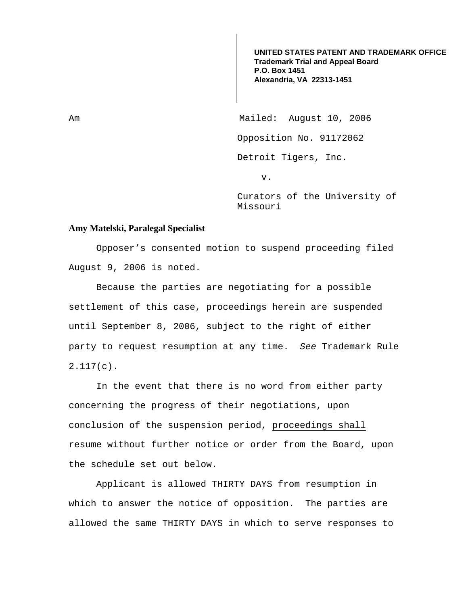**UNITED STATES PATENT AND TRADEMARK OFFICE Trademark Trial and Appeal Board P.O. Box 1451 Alexandria, VA 22313-1451**

Am Mailed: August 10, 2006 Opposition No. 91172062 Detroit Tigers, Inc. v.

> Curators of the University of Missouri

## **Amy Matelski, Paralegal Specialist**

Opposer's consented motion to suspend proceeding filed August 9, 2006 is noted.

 Because the parties are negotiating for a possible settlement of this case, proceedings herein are suspended until September 8, 2006, subject to the right of either party to request resumption at any time. See Trademark Rule 2.117(c).

 In the event that there is no word from either party concerning the progress of their negotiations, upon conclusion of the suspension period, proceedings shall resume without further notice or order from the Board, upon the schedule set out below.

 Applicant is allowed THIRTY DAYS from resumption in which to answer the notice of opposition. The parties are allowed the same THIRTY DAYS in which to serve responses to